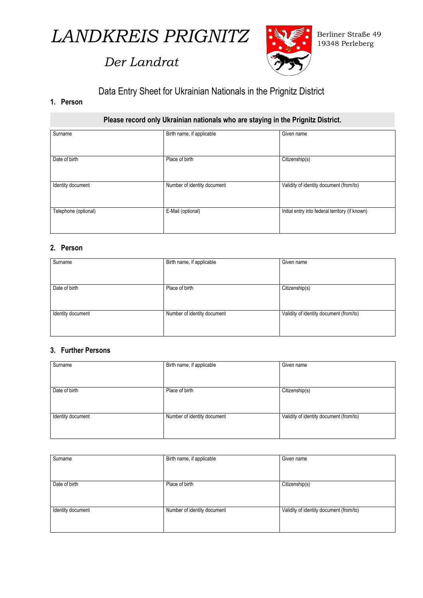

# *Der Landrat*



# Data Entry Sheet for Ukrainian Nationals in the Prignitz District

## **1. Person**

**Please record only Ukrainian nationals who are staying in the Prignitz District.** 

| Surname              | Birth name, if applicable   | Given name                                      |
|----------------------|-----------------------------|-------------------------------------------------|
|                      |                             |                                                 |
|                      |                             |                                                 |
|                      |                             |                                                 |
|                      |                             |                                                 |
| Date of birth        | Place of birth              | Citizenship(s)                                  |
|                      |                             |                                                 |
|                      |                             |                                                 |
|                      |                             |                                                 |
|                      |                             |                                                 |
|                      |                             |                                                 |
| Identity document    | Number of identity document | Validity of identity document (from/to)         |
|                      |                             |                                                 |
|                      |                             |                                                 |
|                      |                             |                                                 |
|                      |                             |                                                 |
| Telephone (optional) | E-Mail (optional)           | Initial entry into federal territory (if known) |
|                      |                             |                                                 |
|                      |                             |                                                 |
|                      |                             |                                                 |
|                      |                             |                                                 |

# **2. Person**

| Surname           | Birth name, if applicable   | Given name                              |
|-------------------|-----------------------------|-----------------------------------------|
|                   |                             |                                         |
|                   |                             |                                         |
|                   |                             |                                         |
|                   |                             |                                         |
|                   |                             |                                         |
|                   |                             |                                         |
| Date of birth     | Place of birth              | Citizenship(s)                          |
|                   |                             |                                         |
|                   |                             |                                         |
|                   |                             |                                         |
|                   |                             |                                         |
|                   |                             |                                         |
| Identity document | Number of identity document | Validity of identity document (from/to) |
|                   |                             |                                         |
|                   |                             |                                         |
|                   |                             |                                         |
|                   |                             |                                         |
|                   |                             |                                         |

# **3. Further Persons**

| Surname           | Birth name, if applicable   | Given name                              |
|-------------------|-----------------------------|-----------------------------------------|
|                   |                             |                                         |
|                   |                             |                                         |
|                   |                             |                                         |
| Date of birth     | Place of birth              | Citizenship(s)                          |
|                   |                             |                                         |
|                   |                             |                                         |
|                   |                             |                                         |
| Identity document | Number of identity document | Validity of identity document (from/to) |
|                   |                             |                                         |
|                   |                             |                                         |
|                   |                             |                                         |

| Surname           | Birth name, if applicable   | Given name                              |
|-------------------|-----------------------------|-----------------------------------------|
|                   |                             |                                         |
| Date of birth     | Place of birth              | Citizenship(s)                          |
|                   |                             |                                         |
| Identity document | Number of identity document | Validity of identity document (from/to) |
|                   |                             |                                         |
|                   |                             |                                         |